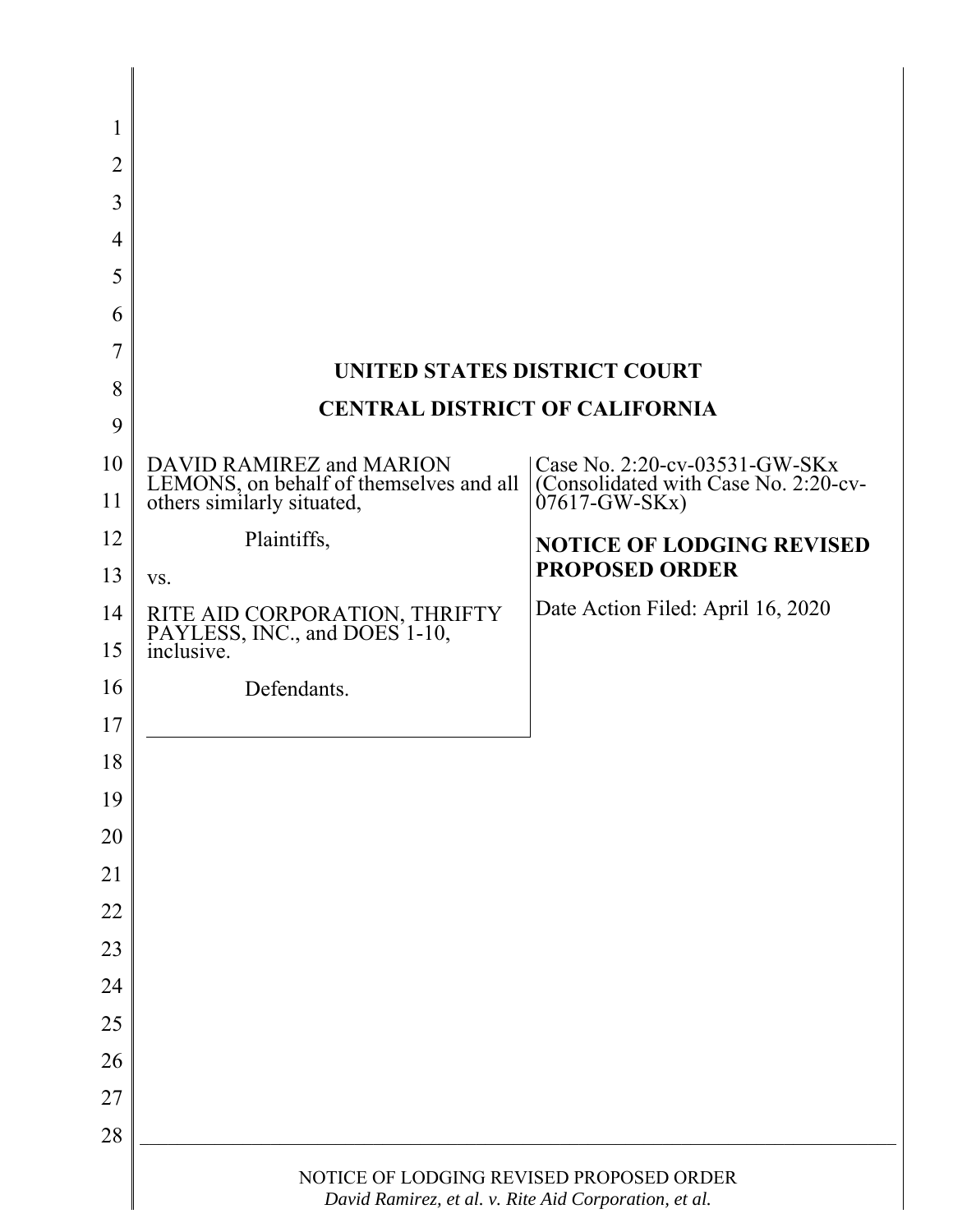| 1              |                                                                                                   |                                                                                    |  |
|----------------|---------------------------------------------------------------------------------------------------|------------------------------------------------------------------------------------|--|
| $\overline{2}$ |                                                                                                   |                                                                                    |  |
| 3              |                                                                                                   |                                                                                    |  |
| $\overline{4}$ |                                                                                                   |                                                                                    |  |
| 5              |                                                                                                   |                                                                                    |  |
| 6              |                                                                                                   |                                                                                    |  |
| 7              |                                                                                                   |                                                                                    |  |
| 8              | UNITED STATES DISTRICT COURT                                                                      |                                                                                    |  |
| 9              | <b>CENTRAL DISTRICT OF CALIFORNIA</b>                                                             |                                                                                    |  |
| 10             | DAVID RAMIREZ and MARION                                                                          |                                                                                    |  |
| 11             | LEMONS, on behalf of themselves and all<br>others similarly situated,                             | Case No. 2:20-cv-03531-GW-SKx<br>(Consolidated with Case No. 2:20-cv-07617-GW-SKx) |  |
| 12             | Plaintiffs,                                                                                       | <b>NOTICE OF LODGING REVISED</b>                                                   |  |
| 13             | VS.                                                                                               | <b>PROPOSED ORDER</b>                                                              |  |
| 14             | RITE AID CORPORATION, THRIFTY<br>PAYLESS, INC., and DOES 1-10,<br>inclusive.                      | Date Action Filed: April 16, 2020                                                  |  |
| 15             |                                                                                                   |                                                                                    |  |
| 16             | Defendants.                                                                                       |                                                                                    |  |
| 17             |                                                                                                   |                                                                                    |  |
| 18             |                                                                                                   |                                                                                    |  |
| 19             |                                                                                                   |                                                                                    |  |
| 20             |                                                                                                   |                                                                                    |  |
| 21             |                                                                                                   |                                                                                    |  |
| 22             |                                                                                                   |                                                                                    |  |
| 23             |                                                                                                   |                                                                                    |  |
| 24             |                                                                                                   |                                                                                    |  |
| 25             |                                                                                                   |                                                                                    |  |
| 26             |                                                                                                   |                                                                                    |  |
| 27             |                                                                                                   |                                                                                    |  |
| 28             |                                                                                                   |                                                                                    |  |
|                | NOTICE OF LODGING REVISED PROPOSED ORDER<br>David Ramirez, et al. v. Rite Aid Corporation, et al. |                                                                                    |  |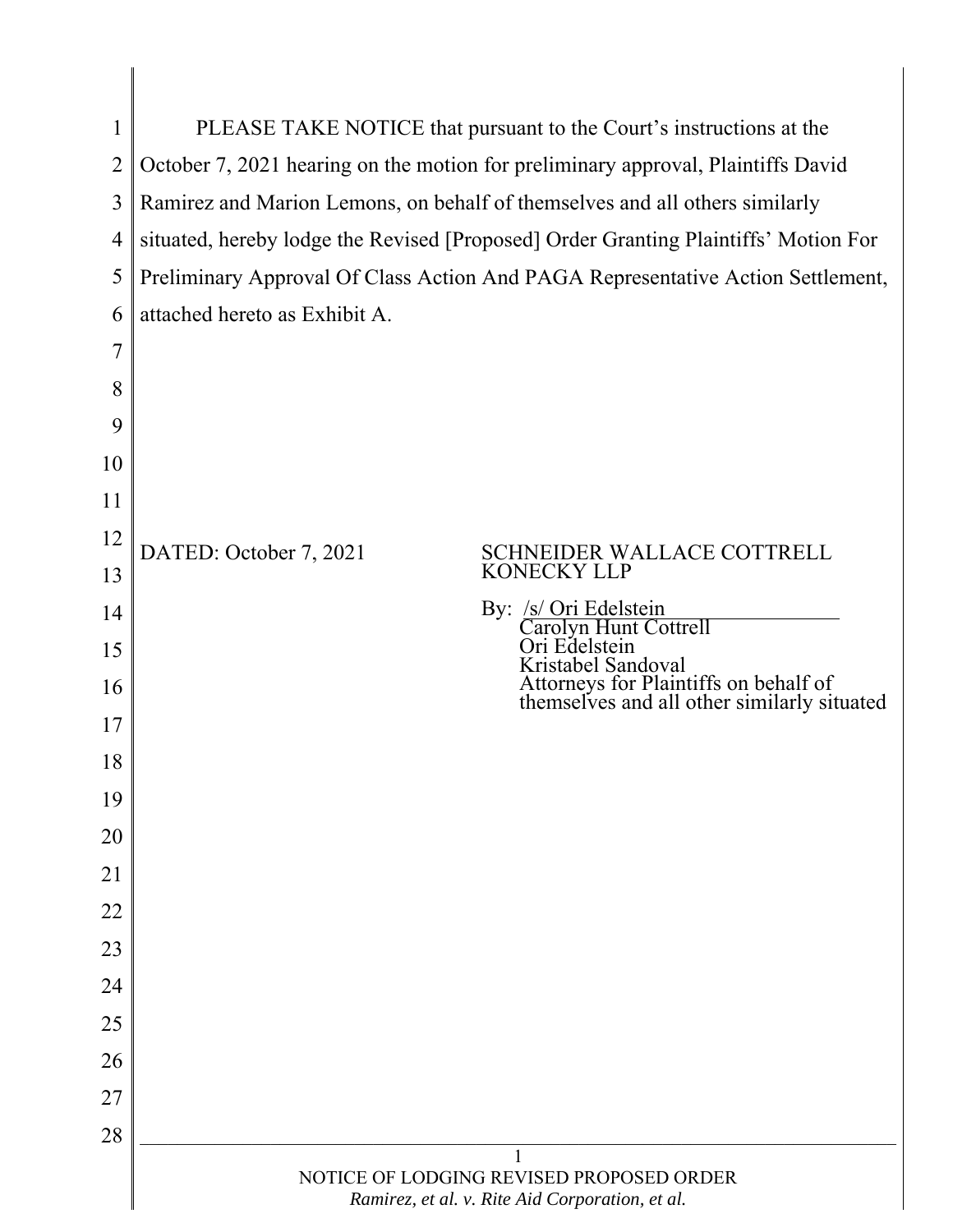| 1              | PLEASE TAKE NOTICE that pursuant to the Court's instructions at the                         |                                                                                                            |  |
|----------------|---------------------------------------------------------------------------------------------|------------------------------------------------------------------------------------------------------------|--|
| $\overline{2}$ | October 7, 2021 hearing on the motion for preliminary approval, Plaintiffs David            |                                                                                                            |  |
| 3              | Ramirez and Marion Lemons, on behalf of themselves and all others similarly                 |                                                                                                            |  |
| $\overline{4}$ | situated, hereby lodge the Revised [Proposed] Order Granting Plaintiffs' Motion For         |                                                                                                            |  |
| 5              | Preliminary Approval Of Class Action And PAGA Representative Action Settlement,             |                                                                                                            |  |
| 6              | attached hereto as Exhibit A.                                                               |                                                                                                            |  |
| 7              |                                                                                             |                                                                                                            |  |
| 8              |                                                                                             |                                                                                                            |  |
| 9              |                                                                                             |                                                                                                            |  |
| 10             |                                                                                             |                                                                                                            |  |
| 11             |                                                                                             |                                                                                                            |  |
| 12             | DATED: October 7, 2021                                                                      | SCHNEIDER WALLACE COTTRELL<br><b>KONECKY LLP</b>                                                           |  |
| 13<br>14       |                                                                                             | By: /s/ Ori Edelstein                                                                                      |  |
| 15             |                                                                                             | lyn Hunt Cottrell<br>Edelstein                                                                             |  |
| 16             |                                                                                             | Kristabel Sandoval<br>Attorneys for Plaintiffs on behalf of<br>themselves and all other similarly situated |  |
| 17             |                                                                                             |                                                                                                            |  |
| 18             |                                                                                             |                                                                                                            |  |
| 19             |                                                                                             |                                                                                                            |  |
| 20             |                                                                                             |                                                                                                            |  |
| 21             |                                                                                             |                                                                                                            |  |
| 22             |                                                                                             |                                                                                                            |  |
| 23             |                                                                                             |                                                                                                            |  |
| 24             |                                                                                             |                                                                                                            |  |
| 25             |                                                                                             |                                                                                                            |  |
| 26             |                                                                                             |                                                                                                            |  |
| 27             |                                                                                             |                                                                                                            |  |
| 28             |                                                                                             |                                                                                                            |  |
|                | NOTICE OF LODGING REVISED PROPOSED ORDER<br>Ramirez, et al. v. Rite Aid Corporation, et al. |                                                                                                            |  |